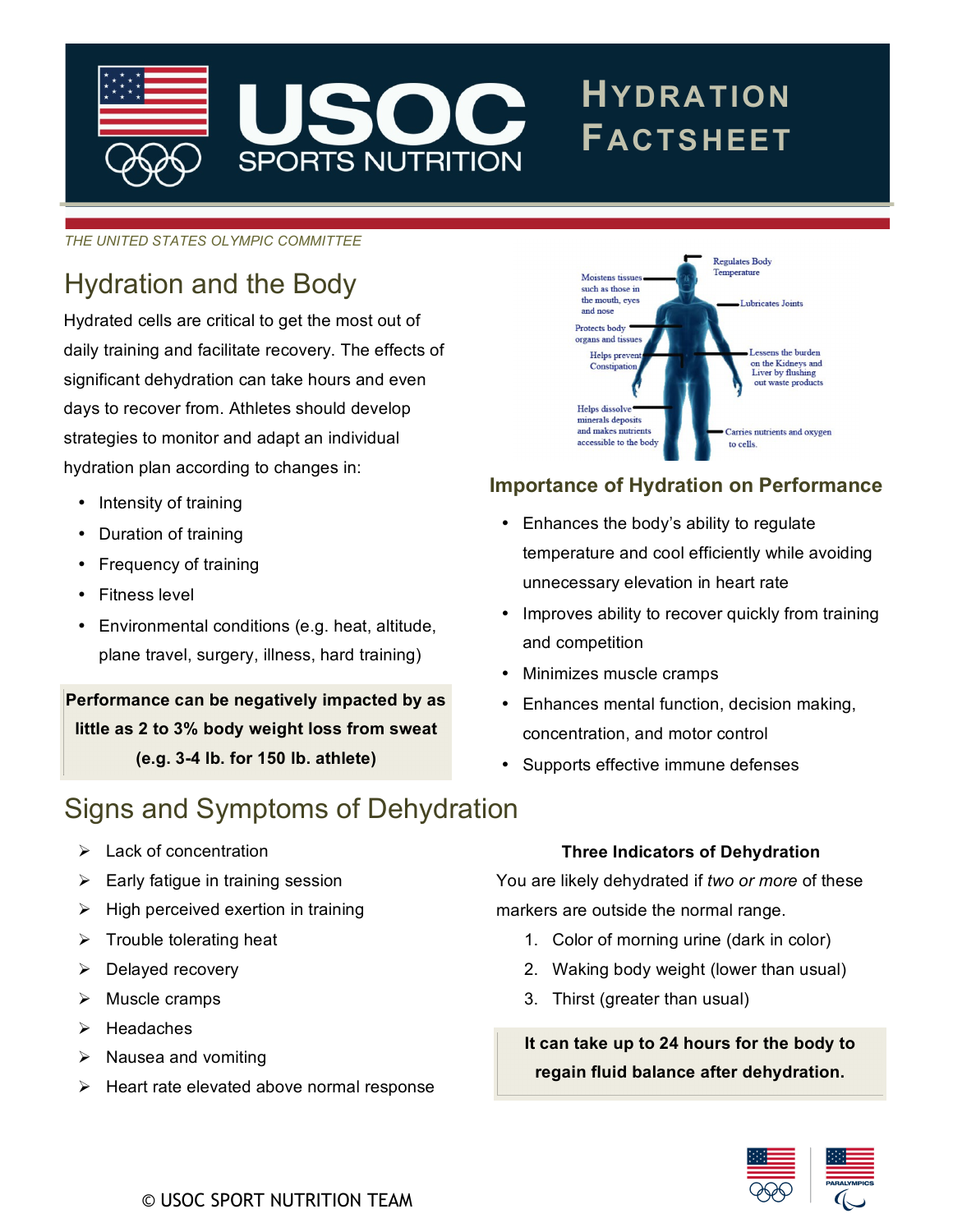

*THE UNITED STATES OLYMPIC COMMITTEE*

## Hydration and the Body

Hydrated cells are critical to get the most out of daily training and facilitate recovery. The effects of significant dehydration can take hours and even days to recover from. Athletes should develop strategies to monitor and adapt an individual hydration plan according to changes in:

- Intensity of training
- Duration of training
- Frequency of training
- Fitness level
- Environmental conditions (e.g. heat, altitude, plane travel, surgery, illness, hard training)

**Performance can be negatively impacted by as little as 2 to 3% body weight loss from sweat (e.g. 3-4 lb. for 150 lb. athlete)**

### Signs and Symptoms of Dehydration

- $\triangleright$  Lack of concentration
- $\triangleright$  Early fatigue in training session
- $\triangleright$  High perceived exertion in training
- $\triangleright$  Trouble tolerating heat
- $\triangleright$  Delayed recovery
- $\triangleright$  Muscle cramps
- $\triangleright$  Headaches
- $\triangleright$  Nausea and vomiting
- $\triangleright$  Heart rate elevated above normal response



### **Importance of Hydration on Performance**

- Enhances the body's ability to regulate temperature and cool efficiently while avoiding unnecessary elevation in heart rate
- Improves ability to recover quickly from training and competition
- Minimizes muscle cramps
- Enhances mental function, decision making, concentration, and motor control
- Supports effective immune defenses

#### **Three Indicators of Dehydration**

You are likely dehydrated if *two or more* of these markers are outside the normal range.

- 1. Color of morning urine (dark in color)
- 2. Waking body weight (lower than usual)
- 3. Thirst (greater than usual)

**It can take up to 24 hours for the body to regain fluid balance after dehydration.**